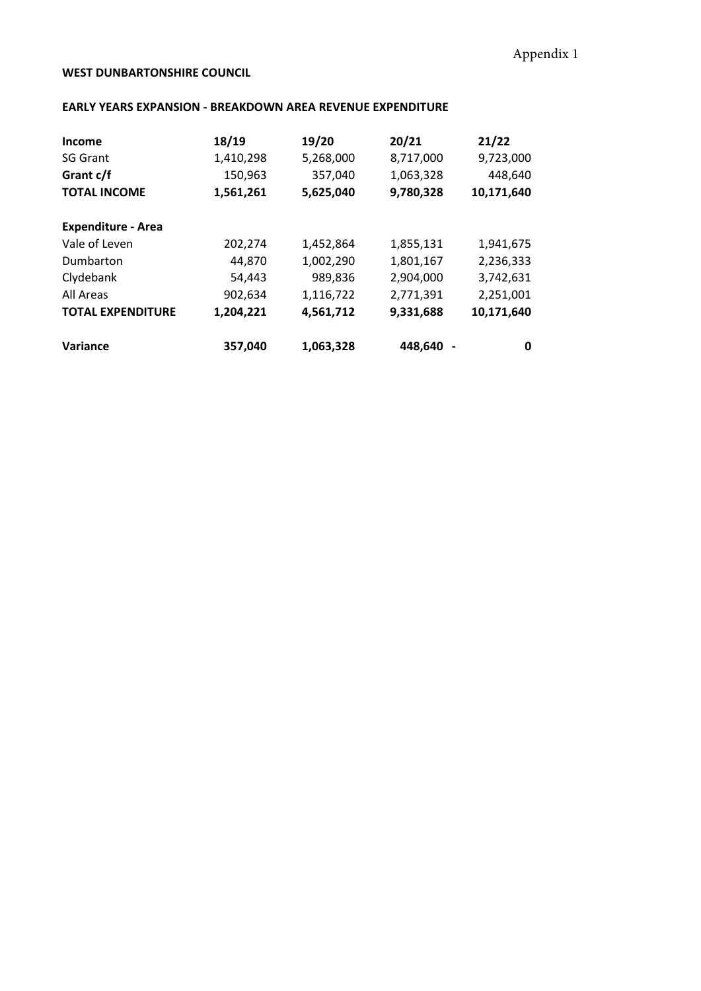## **WEST DUNBARTONSHIRE COUNCIL**

## **EARLY YEARS EXPANSION - BREAKDOWN AREA REVENUE EXPENDITURE**

| Income                    | 18/19     | 19/20     | 20/21     | 21/22      |
|---------------------------|-----------|-----------|-----------|------------|
| <b>SG Grant</b>           | 1,410,298 | 5,268,000 | 8,717,000 | 9,723,000  |
| Grant c/f                 | 150,963   | 357,040   | 1,063,328 | 448,640    |
| <b>TOTAL INCOME</b>       | 1,561,261 | 5,625,040 | 9,780,328 | 10,171,640 |
| <b>Expenditure - Area</b> |           |           |           |            |
| Vale of Leven             | 202,274   | 1,452,864 | 1,855,131 | 1,941,675  |
| Dumbarton                 | 44,870    | 1,002,290 | 1,801,167 | 2,236,333  |
| Clydebank                 | 54,443    | 989,836   | 2,904,000 | 3,742,631  |
| All Areas                 | 902,634   | 1,116,722 | 2,771,391 | 2,251,001  |
| <b>TOTAL EXPENDITURE</b>  | 1,204,221 | 4,561,712 | 9,331,688 | 10,171,640 |
| Variance                  | 357,040   | 1,063,328 | 448,640   | 0          |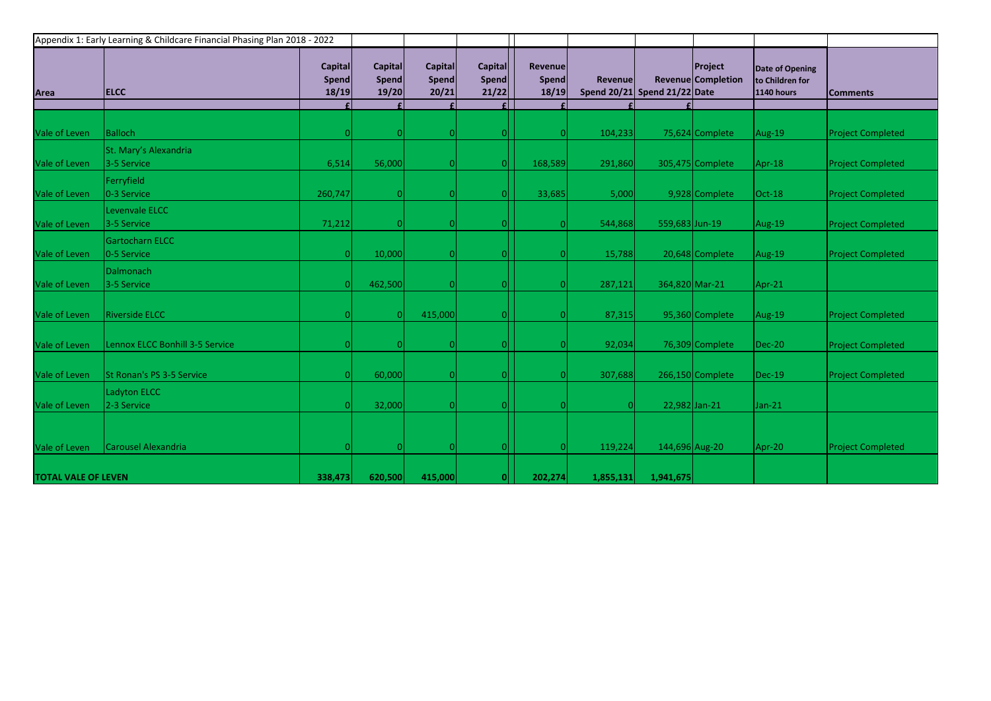| Area                       | <b>ELCC</b>                            | Appendix 1: Early Learning & Childcare Financial Phasing Plan 2018 - 2022<br>Capital<br><b>Spend</b><br>18/19 | Capital<br><b>Spend</b><br>$19/20$ | Capital<br>Spend<br>20/21 | <b>Capital</b><br><b>Spend</b><br>21/22 | <b>Revenue</b><br>Spend<br>18/19 | <b>Revenue</b> | Spend 20/21 Spend 21/22 Date | Project<br>Revenue Completion | Date of Opening<br>to Children for<br><b>1140 hours</b> | <b>Comments</b>          |
|----------------------------|----------------------------------------|---------------------------------------------------------------------------------------------------------------|------------------------------------|---------------------------|-----------------------------------------|----------------------------------|----------------|------------------------------|-------------------------------|---------------------------------------------------------|--------------------------|
|                            |                                        |                                                                                                               |                                    |                           |                                         |                                  |                |                              |                               |                                                         |                          |
| Vale of Leven              | <b>Balloch</b>                         |                                                                                                               | $\Omega$                           |                           | 0                                       |                                  | 104,233        |                              | 75,624 Complete               | Aug-19                                                  | <b>Project Completed</b> |
| Vale of Leven              | St. Mary's Alexandria<br>3-5 Service   | 6,514                                                                                                         | 56,000                             |                           | 0                                       | 168,589                          | 291,860        |                              | 305,475 Complete              | Apr-18                                                  | <b>Project Completed</b> |
| Vale of Leven              | Ferryfield<br>0-3 Service              | 260,747                                                                                                       | $\vert 0 \vert$                    |                           | O                                       | 33,685                           | 5,000          |                              | 9,928 Complete                | Oct-18                                                  | <b>Project Completed</b> |
| Vale of Leven              | Levenvale ELCC<br>3-5 Service          | 71,212                                                                                                        | $\vert 0 \vert$                    |                           | $\Omega$                                |                                  | 544,868        | 559,683 Jun-19               |                               | Aug-19                                                  | <b>Project Completed</b> |
| Vale of Leven              | Gartocharn ELCC<br>0-5 Service         |                                                                                                               | 10,000                             |                           |                                         |                                  | 15,788         |                              | 20,648 Complete               | Aug-19                                                  | <b>Project Completed</b> |
| Vale of Leven              | <b>Dalmonach</b><br>3-5 Service        |                                                                                                               | 462,500                            |                           | 0                                       |                                  | 287,121        | 364,820 Mar-21               |                               | Apr-21                                                  |                          |
| Vale of Leven              | <b>Riverside ELCC</b>                  |                                                                                                               | $\overline{0}$                     | 415,000                   | $\Omega$                                |                                  | 87,315         |                              | 95,360 Complete               | Aug-19                                                  | <b>Project Completed</b> |
| Vale of Leven              | <b>Lennox ELCC Bonhill 3-5 Service</b> |                                                                                                               | $\vert$ 0                          |                           |                                         |                                  | 92,034         |                              | 76,309 Complete               | <b>Dec-20</b>                                           | <b>Project Completed</b> |
| Vale of Leven              | St Ronan's PS 3-5 Service              |                                                                                                               | 60,000                             | n                         | O                                       |                                  | 307,688        |                              | 266,150 Complete              | $Dec-19$                                                | <b>Project Completed</b> |
| Vale of Leven              | Ladyton ELCC<br>2-3 Service            |                                                                                                               | 32,000                             |                           | $\Omega$                                |                                  | -OI            |                              | 22,982 Jan-21                 | $Jan-21$                                                |                          |
|                            |                                        |                                                                                                               |                                    |                           |                                         |                                  |                |                              |                               |                                                         |                          |
| Vale of Leven              | <b>Carousel Alexandria</b>             |                                                                                                               | $\overline{0}$                     |                           | 0                                       |                                  | 119,224        | 144,696 Aug-20               |                               | Apr-20                                                  | <b>Project Completed</b> |
| <b>TOTAL VALE OF LEVEN</b> |                                        | 338,473                                                                                                       | 620,500                            | 415,000                   | n                                       | 202,274                          | 1,855,131      | 1,941,675                    |                               |                                                         |                          |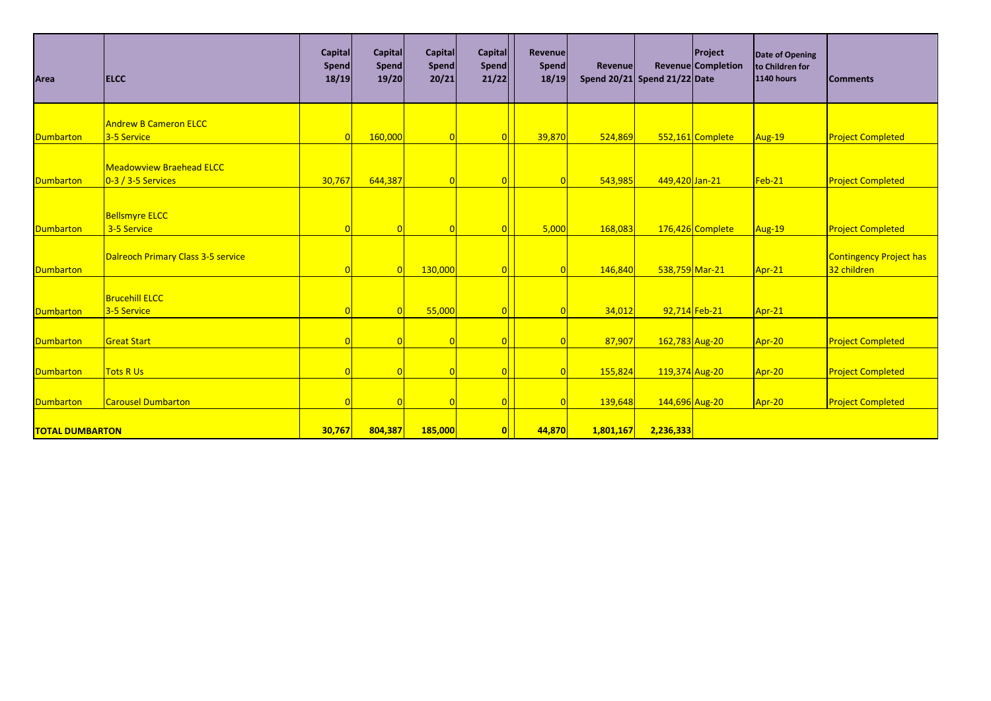| Area                   | <b>ELCC</b>                        | Capital<br><b>Spend</b><br>18/19 | Capital<br><b>Spend</b><br>19/20 | <b>Capital</b><br><b>Spend</b><br>20/21 | <b>Capital</b><br><b>Spend</b><br>21/22 | <b>Revenue</b><br>Spend<br>18/19 | <b>Revenue</b><br>Spend 20/21 Spend 21/22 Date |                | <b>Project</b><br>Revenue Completion | Date of Opening<br>to Children for<br><b>1140 hours</b> | <b>Comments</b>                |
|------------------------|------------------------------------|----------------------------------|----------------------------------|-----------------------------------------|-----------------------------------------|----------------------------------|------------------------------------------------|----------------|--------------------------------------|---------------------------------------------------------|--------------------------------|
|                        |                                    |                                  |                                  |                                         |                                         |                                  |                                                |                |                                      |                                                         |                                |
|                        | <b>Andrew B Cameron ELCC</b>       |                                  |                                  |                                         |                                         |                                  |                                                |                |                                      |                                                         |                                |
| <b>Dumbarton</b>       | 3-5 Service                        |                                  | 160,000                          | $\overline{0}$                          |                                         | 39,870                           | 524,869                                        |                | 552,161 Complete                     | Aug-19                                                  | <b>Project Completed</b>       |
|                        |                                    |                                  |                                  |                                         |                                         |                                  |                                                |                |                                      |                                                         |                                |
|                        | <b>Meadowview Braehead ELCC</b>    |                                  |                                  |                                         |                                         |                                  |                                                |                |                                      |                                                         |                                |
| <b>Dumbarton</b>       | $0-3/3-5$ Services                 | 30,767                           | 644,387                          | $\overline{0}$                          |                                         |                                  | 543,985                                        | 449,420 Jan-21 |                                      | Feb-21                                                  | <b>Project Completed</b>       |
|                        |                                    |                                  |                                  |                                         |                                         |                                  |                                                |                |                                      |                                                         |                                |
|                        | <b>Bellsmyre ELCC</b>              |                                  |                                  |                                         |                                         |                                  |                                                |                |                                      |                                                         |                                |
| <b>Dumbarton</b>       | 3-5 Service                        | $\vert 0 \vert$                  |                                  | $\overline{0}$                          |                                         | 5,000                            | 168,083                                        |                | 176,426 Complete                     | Aug-19                                                  | <b>Project Completed</b>       |
|                        |                                    |                                  |                                  |                                         |                                         |                                  |                                                |                |                                      |                                                         |                                |
|                        | Dalreoch Primary Class 3-5 service |                                  |                                  |                                         |                                         |                                  |                                                |                |                                      |                                                         | <b>Contingency Project has</b> |
| <b>Dumbarton</b>       |                                    |                                  |                                  | 130,000                                 |                                         |                                  | 146,840                                        | 538,759 Mar-21 |                                      | $Apr-21$                                                | 32 children                    |
|                        |                                    |                                  |                                  |                                         |                                         |                                  |                                                |                |                                      |                                                         |                                |
|                        | <b>Brucehill ELCC</b>              |                                  |                                  |                                         |                                         |                                  |                                                |                |                                      |                                                         |                                |
| <b>Dumbarton</b>       | 3-5 Service                        |                                  |                                  | 55,000                                  |                                         |                                  | 34,012                                         |                | 92,714 Feb-21                        | Apr-21                                                  |                                |
|                        |                                    |                                  |                                  |                                         |                                         |                                  |                                                |                |                                      |                                                         |                                |
| <b>Dumbarton</b>       | <b>Great Start</b>                 | $\Omega$                         |                                  | $\Omega$                                |                                         |                                  | 87,907                                         | 162,783 Aug-20 |                                      | Apr-20                                                  | <b>Project Completed</b>       |
|                        |                                    |                                  |                                  |                                         |                                         |                                  |                                                |                |                                      |                                                         |                                |
| <b>Dumbarton</b>       | <b>Tots R Us</b>                   | 0                                |                                  | $\overline{0}$                          |                                         |                                  | 155,824                                        | 119,374 Aug-20 |                                      | Apr-20                                                  | <b>Project Completed</b>       |
| <b>Dumbarton</b>       | <b>Carousel Dumbarton</b>          | $\vert 0 \vert$                  |                                  | $\overline{0}$                          |                                         |                                  | 139,648                                        |                |                                      |                                                         | <b>Project Completed</b>       |
|                        |                                    |                                  |                                  |                                         |                                         |                                  |                                                | 144,696 Aug-20 |                                      | Apr-20                                                  |                                |
| <b>TOTAL DUMBARTON</b> |                                    | 30,767                           | 804,387                          | 185,000                                 |                                         | 44,870                           | 1,801,167                                      | 2,236,333      |                                      |                                                         |                                |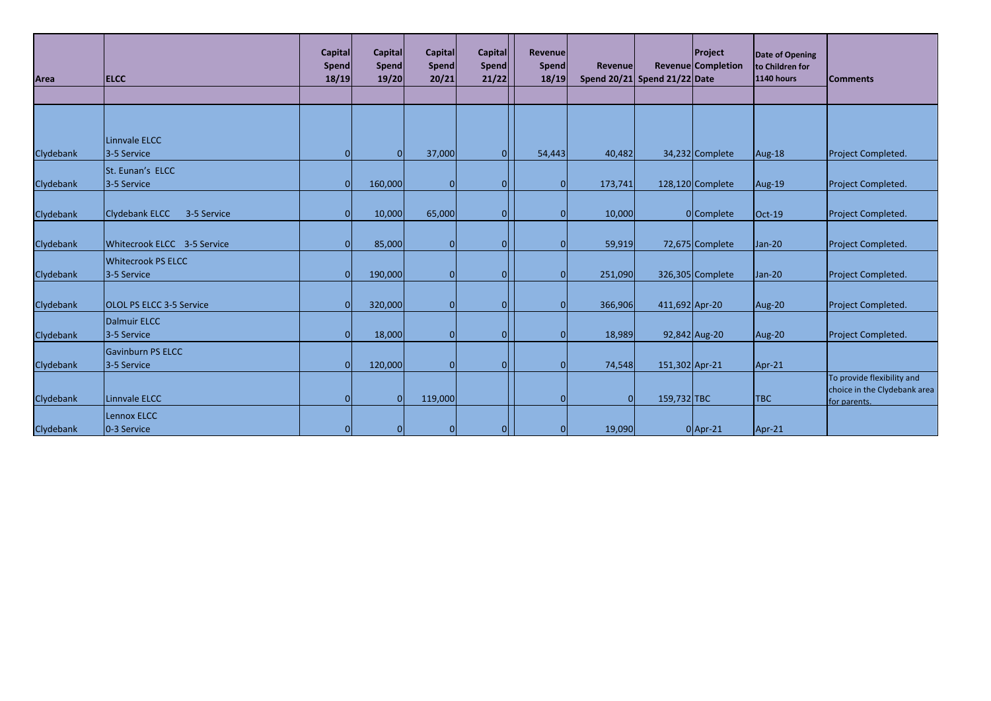| Area      | <b>ELCC</b>                              | <b>Capital</b><br><b>Spend</b><br>18/19 | <b>Capital</b><br>Spend<br>19/20 | <b>Capital</b><br><b>Spend</b><br>20/21 | Capital<br>Spend<br>21/22 | Revenue<br>Spend<br>18/19 | <b>Revenue</b> | Spend 20/21 Spend 21/22 Date | Project<br><b>Revenue Completion</b> | Date of Opening<br>to Children for<br><b>1140 hours</b> | <b>Comments</b>                                                            |
|-----------|------------------------------------------|-----------------------------------------|----------------------------------|-----------------------------------------|---------------------------|---------------------------|----------------|------------------------------|--------------------------------------|---------------------------------------------------------|----------------------------------------------------------------------------|
|           |                                          |                                         |                                  |                                         |                           |                           |                |                              |                                      |                                                         |                                                                            |
|           | Linnvale ELCC                            |                                         |                                  |                                         |                           |                           |                |                              |                                      |                                                         |                                                                            |
| Clydebank | 3-5 Service                              | $\Omega$                                | $\Omega$                         | 37,000                                  | $\Omega$                  | 54,443                    | 40,482         |                              | 34,232 Complete                      | Aug-18                                                  | Project Completed.                                                         |
| Clydebank | St. Eunan's ELCC<br>3-5 Service          | n                                       | 160,000                          | O                                       | O                         |                           | 173,741        |                              | 128,120 Complete                     | Aug-19                                                  | Project Completed.                                                         |
| Clydebank | <b>Clydebank ELCC</b><br>3-5 Service     |                                         | 10,000                           | 65,000                                  | <sup>0</sup>              |                           | 10,000         |                              | 0Complete                            | $Oct-19$                                                | Project Completed.                                                         |
| Clydebank | Whitecrook ELCC 3-5 Service              |                                         | 85,000                           | $\Omega$                                | <sup>0</sup>              |                           | 59,919         |                              | 72,675 Complete                      | Jan-20                                                  | Project Completed.                                                         |
| Clydebank | <b>Whitecrook PS ELCC</b><br>3-5 Service |                                         | 190,000                          | $\Omega$                                | $\Omega$                  |                           | 251,090        |                              | 326,305 Complete                     | Jan-20                                                  | Project Completed.                                                         |
| Clydebank | <b>OLOL PS ELCC 3-5 Service</b>          |                                         | 320,000                          | $\Omega$                                | $\Omega$                  |                           | 366,906        | 411,692 Apr-20               |                                      | Aug-20                                                  | Project Completed.                                                         |
| Clydebank | Dalmuir ELCC<br>3-5 Service              |                                         | 18,000                           |                                         | <sup>0</sup>              |                           | 18,989         |                              | 92,842 Aug-20                        | Aug-20                                                  | Project Completed.                                                         |
| Clydebank | <b>Gavinburn PS ELCC</b><br>3-5 Service  | ∩                                       | 120,000                          | $\Omega$                                | <sup>0</sup>              |                           | 74,548         | 151,302 Apr-21               |                                      | Apr-21                                                  |                                                                            |
| Clydebank | Linnvale ELCC                            |                                         | οl                               | 119,000                                 |                           |                           | $\Omega$       | 159,732 TBC                  |                                      | <b>TBC</b>                                              | To provide flexibility and<br>choice in the Clydebank area<br>for parents. |
| Clydebank | Lennox ELCC<br>0-3 Service               |                                         | οI                               |                                         |                           |                           | 19,090         |                              | $0$  Apr-21                          | Apr-21                                                  |                                                                            |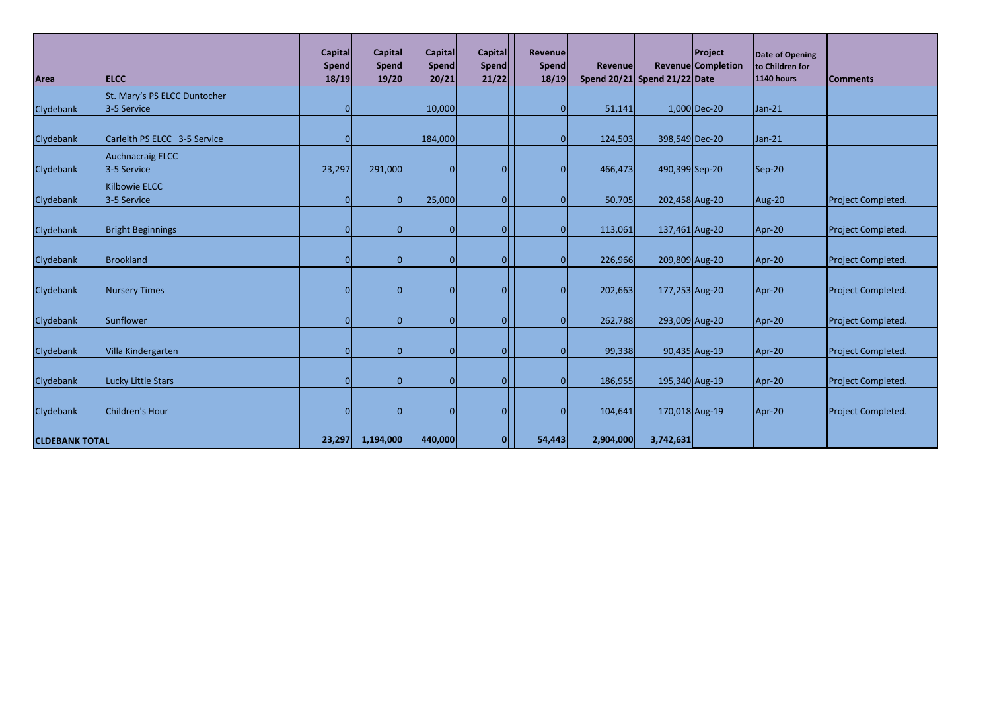| Area                  | <b>ELCC</b>                                 | <b>Capital</b><br>Spend<br>18/19 | Capital<br><b>Spend</b><br>19/20 | <b>Capital</b><br>Spend<br>20/21 | <b>Capital</b><br><b>Spend</b><br>21/22 | <b>Revenue</b><br><b>Spend</b><br>18/19 | <b>Revenue</b> | Spend $20/21$ Spend $21/22$ Date | Project<br>Revenue Completion | Date of Opening<br>to Children for<br>1140 hours | <b>Comments</b>    |
|-----------------------|---------------------------------------------|----------------------------------|----------------------------------|----------------------------------|-----------------------------------------|-----------------------------------------|----------------|----------------------------------|-------------------------------|--------------------------------------------------|--------------------|
| Clydebank             | St. Mary's PS ELCC Duntocher<br>3-5 Service | $\overline{O}$                   |                                  | 10,000                           |                                         | በ                                       | 51,141         |                                  | 1,000 Dec-20                  | $Jan-21$                                         |                    |
| Clydebank             | Carleith PS ELCC 3-5 Service                | $\overline{0}$                   |                                  | 184,000                          |                                         |                                         | 124,503        | 398,549 Dec-20                   |                               | $Jan-21$                                         |                    |
| Clydebank             | Auchnacraig ELCC<br>3-5 Service             | 23,297                           | 291,000                          |                                  | 0                                       | $\Omega$                                | 466,473        | 490,399 Sep-20                   |                               | Sep-20                                           |                    |
| Clydebank             | Kilbowie ELCC<br>3-5 Service                | $\overline{0}$                   | $\overline{0}$                   | 25,000                           | $\Omega$                                |                                         | 50,705         | 202,458 Aug-20                   |                               | Aug-20                                           | Project Completed. |
| Clydebank             | <b>Bright Beginnings</b>                    | $\overline{0}$                   | $\Omega$                         |                                  | 0                                       | n                                       | 113,061        | 137,461 Aug-20                   |                               | Apr-20                                           | Project Completed. |
| Clydebank             | Brookland                                   | $\overline{0}$                   | $\Omega$                         |                                  | $\Omega$                                | በ                                       | 226,966        | 209,809 Aug-20                   |                               | Apr-20                                           | Project Completed. |
| Clydebank             | Nursery Times                               | $\overline{0}$                   | $\Omega$                         |                                  | $\Omega$                                | $\Omega$                                | 202,663        | 177,253 Aug-20                   |                               | Apr-20                                           | Project Completed. |
| Clydebank             | Sunflower                                   | $\overline{0}$                   | 0                                |                                  | $\overline{0}$                          | n                                       | 262,788        | 293,009 Aug-20                   |                               | Apr-20                                           | Project Completed. |
| Clydebank             | Villa Kindergarten                          | $\overline{0}$                   | $\Omega$                         |                                  | $\overline{0}$                          |                                         | 99,338         |                                  | 90,435 Aug-19                 | Apr-20                                           | Project Completed. |
| Clydebank             | Lucky Little Stars                          | $\overline{0}$                   | $\Omega$                         |                                  | $\overline{0}$                          | $\Omega$                                | 186,955        | 195,340 Aug-19                   |                               | Apr-20                                           | Project Completed. |
| Clydebank             | Children's Hour                             | $\overline{0}$                   | $\Omega$                         |                                  | 0                                       | $\Omega$                                | 104,641        | 170,018 Aug-19                   |                               | Apr-20                                           | Project Completed. |
| <b>CLDEBANK TOTAL</b> |                                             | 23,297                           | 1,194,000                        | 440,000                          | 0                                       | 54,443                                  | 2,904,000      | 3,742,631                        |                               |                                                  |                    |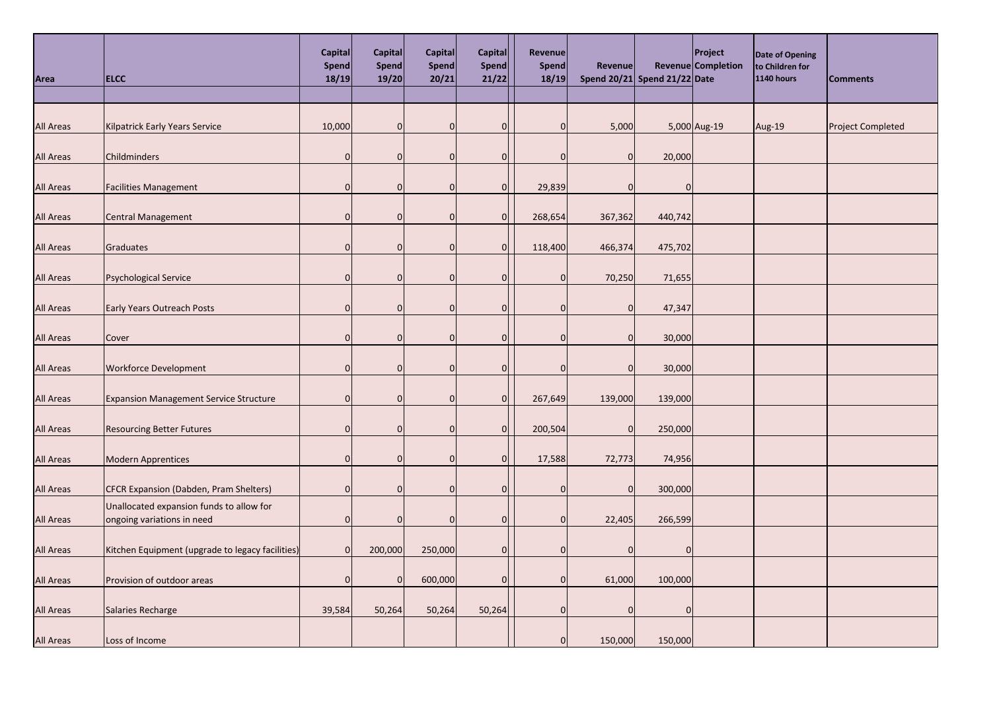| Area             | <b>ELCC</b>                                                            | Capital<br>Spend<br>18/19 | <b>Capital</b><br>Spend<br>19/20 | Capital<br>Spend<br>20/21 | Capital<br>Spend<br>21/22 | Revenue<br>Spend<br>18/19 | Revenue        | Spend $20/21$ Spend $21/22$ Date | Project<br>Revenue Completion | Date of Opening<br>to Children for<br><b>1140 hours</b> | <b>Comments</b>          |
|------------------|------------------------------------------------------------------------|---------------------------|----------------------------------|---------------------------|---------------------------|---------------------------|----------------|----------------------------------|-------------------------------|---------------------------------------------------------|--------------------------|
| <b>All Areas</b> | Kilpatrick Early Years Service                                         | 10,000                    | 0                                | $\overline{0}$            | $\overline{0}$            | <sup>0</sup>              | 5,000          |                                  | 5,000 Aug-19                  | Aug-19                                                  | <b>Project Completed</b> |
| <b>All Areas</b> | Childminders                                                           | $\overline{0}$            | 0                                | $\overline{0}$            | $\overline{0}$            |                           | $\overline{0}$ | 20,000                           |                               |                                                         |                          |
| <b>All Areas</b> | <b>Facilities Management</b>                                           | 0                         | $\Omega$                         | $\overline{0}$            | $\overline{0}$            | 29,839                    | $\overline{0}$ | 0                                |                               |                                                         |                          |
| <b>All Areas</b> | <b>Central Management</b>                                              | $\Omega$                  | $\Omega$                         | $\overline{0}$            | $\overline{0}$            | 268,654                   | 367,362        | 440,742                          |                               |                                                         |                          |
| <b>All Areas</b> | Graduates                                                              | $\mathbf 0$               | $\mathbf 0$                      | <sup>0</sup>              | $\overline{0}$            | 118,400                   | 466,374        | 475,702                          |                               |                                                         |                          |
| <b>All Areas</b> | Psychological Service                                                  | $\mathbf 0$               | $\Omega$                         | $\overline{0}$            | $\Omega$                  |                           | 70,250         | 71,655                           |                               |                                                         |                          |
| <b>All Areas</b> | <b>Early Years Outreach Posts</b>                                      | $\mathbf 0$               | 0                                | $\overline{0}$            | 0                         |                           | $\overline{0}$ | 47,347                           |                               |                                                         |                          |
| <b>All Areas</b> | Cover                                                                  | $\overline{0}$            | $\Omega$                         | <sup>0</sup>              | $\Omega$                  | <sup>0</sup>              | $\Omega$       | 30,000                           |                               |                                                         |                          |
| All Areas        | <b>Workforce Development</b>                                           | $\overline{0}$            | $\overline{0}$                   | $\overline{0}$            | <sup>0</sup>              |                           | $\Omega$       | 30,000                           |                               |                                                         |                          |
| <b>All Areas</b> | <b>Expansion Management Service Structure</b>                          | 0                         | 0                                | $\overline{0}$            | $\Omega$                  | 267,649                   | 139,000        | 139,000                          |                               |                                                         |                          |
| <b>All Areas</b> | <b>Resourcing Better Futures</b>                                       | $\Omega$                  | O                                | $\Omega$                  | $\overline{0}$            | 200,504                   | 0              | 250,000                          |                               |                                                         |                          |
| <b>All Areas</b> | Modern Apprentices                                                     | 0                         | 0                                | $\overline{0}$            | $\overline{0}$            | 17,588                    | 72,773         | 74,956                           |                               |                                                         |                          |
| <b>All Areas</b> | CFCR Expansion (Dabden, Pram Shelters)                                 | $\Omega$                  | 0                                | $\Omega$                  | $\Omega$                  |                           | $\Omega$       | 300,000                          |                               |                                                         |                          |
| <b>All Areas</b> | Unallocated expansion funds to allow for<br>ongoing variations in need | $\mathbf 0$               | 0                                | $\overline{0}$            |                           |                           | 22,405         | 266,599                          |                               |                                                         |                          |
| <b>All Areas</b> | Kitchen Equipment (upgrade to legacy facilities)                       | $\overline{0}$            | 200,000                          | 250,000                   |                           |                           | 0              | 0                                |                               |                                                         |                          |
| <b>All Areas</b> | Provision of outdoor areas                                             | $\overline{0}$            | 0                                | 600,000                   | <sup>0</sup>              | O                         | 61,000         | 100,000                          |                               |                                                         |                          |
| <b>All Areas</b> | Salaries Recharge                                                      | 39,584                    | 50,264                           | 50,264                    | 50,264                    | n                         | $\overline{0}$ | $\overline{0}$                   |                               |                                                         |                          |
| <b>All Areas</b> | Loss of Income                                                         |                           |                                  |                           |                           |                           | 150,000        | 150,000                          |                               |                                                         |                          |